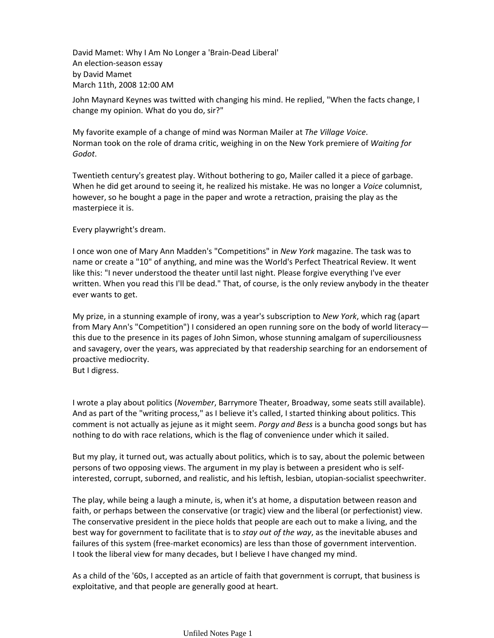David Mamet: Why I Am No Longer a 'Brain‐Dead Liberal' An election‐season essay by David Mamet March 11th, 2008 12:00 AM

John Maynard Keynes was twitted with changing his mind. He replied, "When the facts change, I change my opinion. What do you do, sir?"

My favorite example of a change of mind was Norman Mailer at *The Village Voice*. Norman took on the role of drama critic, weighing in on the New York premiere of *Waiting for Godot*.

Twentieth century's greatest play. Without bothering to go, Mailer called it a piece of garbage. When he did get around to seeing it, he realized his mistake. He was no longer a *Voice* columnist, however, so he bought a page in the paper and wrote a retraction, praising the play as the masterpiece it is.

Every playwright's dream.

I once won one of Mary Ann Madden's "Competitions" in *New York* magazine. The task was to name or create a "10" of anything, and mine was the World's Perfect Theatrical Review. It went like this: "I never understood the theater until last night. Please forgive everything I've ever written. When you read this I'll be dead." That, of course, is the only review anybody in the theater ever wants to get.

My prize, in a stunning example of irony, was a year's subscription to *New York*, which rag (apart from Mary Ann's "Competition") I considered an open running sore on the body of world literacy this due to the presence in its pages of John Simon, whose stunning amalgam of superciliousness and savagery, over the years, was appreciated by that readership searching for an endorsement of proactive mediocrity.

But I digress.

I wrote a play about politics (*November*, Barrymore Theater, Broadway, some seats still available). And as part of the "writing process," as I believe it's called, I started thinking about politics. This comment is not actually as jejune as it might seem. *Porgy and Bess* is a buncha good songs but has nothing to do with race relations, which is the flag of convenience under which it sailed.

But my play, it turned out, was actually about politics, which is to say, about the polemic between persons of two opposing views. The argument in my play is between a president who is self‐ interested, corrupt, suborned, and realistic, and his leftish, lesbian, utopian‐socialist speechwriter.

The play, while being a laugh a minute, is, when it's at home, a disputation between reason and faith, or perhaps between the conservative (or tragic) view and the liberal (or perfectionist) view. The conservative president in the piece holds that people are each out to make a living, and the best way for government to facilitate that is to *stay out of the way*, as the inevitable abuses and failures of this system (free‐market economics) are less than those of government intervention. I took the liberal view for many decades, but I believe I have changed my mind.

As a child of the '60s, I accepted as an article of faith that government is corrupt, that business is exploitative, and that people are generally good at heart.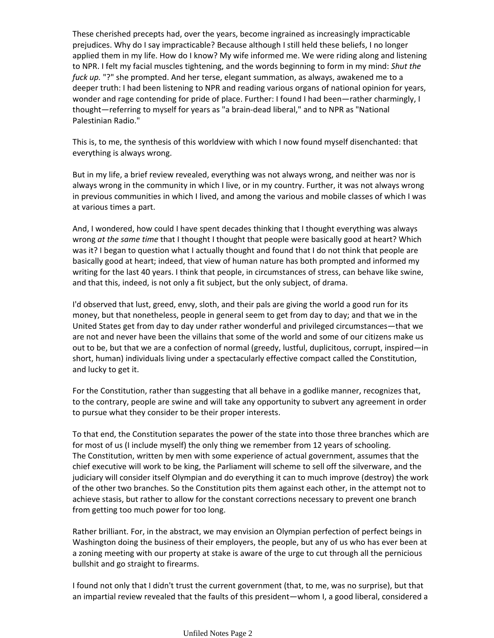These cherished precepts had, over the years, become ingrained as increasingly impracticable prejudices. Why do I say impracticable? Because although I still held these beliefs, I no longer applied them in my life. How do I know? My wife informed me. We were riding along and listening to NPR. I felt my facial muscles tightening, and the words beginning to form in my mind: *Shut the fuck up.* "?" she prompted. And her terse, elegant summation, as always, awakened me to a deeper truth: I had been listening to NPR and reading various organs of national opinion for years, wonder and rage contending for pride of place. Further: I found I had been—rather charmingly, I thought—referring to myself for years as "a brain‐dead liberal," and to NPR as "National Palestinian Radio."

This is, to me, the synthesis of this worldview with which I now found myself disenchanted: that everything is always wrong.

But in my life, a brief review revealed, everything was not always wrong, and neither was nor is always wrong in the community in which I live, or in my country. Further, it was not always wrong in previous communities in which I lived, and among the various and mobile classes of which I was at various times a part.

And, I wondered, how could I have spent decades thinking that I thought everything was always wrong *at the same time* that I thought I thought that people were basically good at heart? Which was it? I began to question what I actually thought and found that I do not think that people are basically good at heart; indeed, that view of human nature has both prompted and informed my writing for the last 40 years. I think that people, in circumstances of stress, can behave like swine, and that this, indeed, is not only a fit subject, but the only subject, of drama.

I'd observed that lust, greed, envy, sloth, and their pals are giving the world a good run for its money, but that nonetheless, people in general seem to get from day to day; and that we in the United States get from day to day under rather wonderful and privileged circumstances—that we are not and never have been the villains that some of the world and some of our citizens make us out to be, but that we are a confection of normal (greedy, lustful, duplicitous, corrupt, inspired—in short, human) individuals living under a spectacularly effective compact called the Constitution, and lucky to get it.

For the Constitution, rather than suggesting that all behave in a godlike manner, recognizes that, to the contrary, people are swine and will take any opportunity to subvert any agreement in order to pursue what they consider to be their proper interests.

To that end, the Constitution separates the power of the state into those three branches which are for most of us (I include myself) the only thing we remember from 12 years of schooling. The Constitution, written by men with some experience of actual government, assumes that the chief executive will work to be king, the Parliament will scheme to sell off the silverware, and the judiciary will consider itself Olympian and do everything it can to much improve (destroy) the work of the other two branches. So the Constitution pits them against each other, in the attempt not to achieve stasis, but rather to allow for the constant corrections necessary to prevent one branch from getting too much power for too long.

Rather brilliant. For, in the abstract, we may envision an Olympian perfection of perfect beings in Washington doing the business of their employers, the people, but any of us who has ever been at a zoning meeting with our property at stake is aware of the urge to cut through all the pernicious bullshit and go straight to firearms.

I found not only that I didn't trust the current government (that, to me, was no surprise), but that an impartial review revealed that the faults of this president—whom I, a good liberal, considered a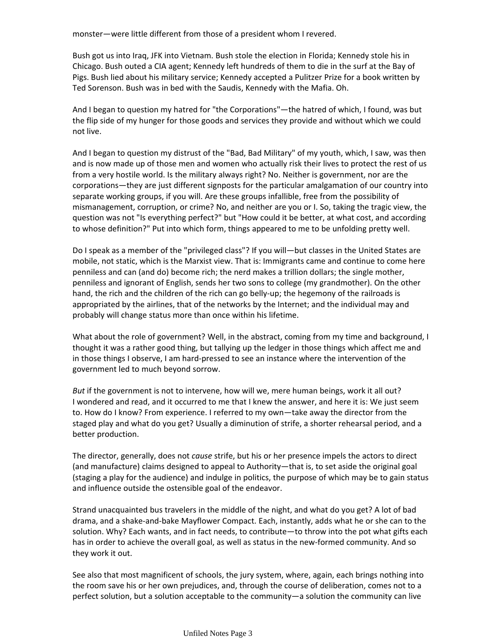monster—were little different from those of a president whom I revered.

Bush got us into Iraq, JFK into Vietnam. Bush stole the election in Florida; Kennedy stole his in Chicago. Bush outed a CIA agent; Kennedy left hundreds of them to die in the surf at the Bay of Pigs. Bush lied about his military service; Kennedy accepted a Pulitzer Prize for a book written by Ted Sorenson. Bush was in bed with the Saudis, Kennedy with the Mafia. Oh.

And I began to question my hatred for "the Corporations"—the hatred of which, I found, was but the flip side of my hunger for those goods and services they provide and without which we could not live.

And I began to question my distrust of the "Bad, Bad Military" of my youth, which, I saw, was then and is now made up of those men and women who actually risk their lives to protect the rest of us from a very hostile world. Is the military always right? No. Neither is government, nor are the corporations—they are just different signposts for the particular amalgamation of our country into separate working groups, if you will. Are these groups infallible, free from the possibility of mismanagement, corruption, or crime? No, and neither are you or I. So, taking the tragic view, the question was not "Is everything perfect?" but "How could it be better, at what cost, and according to whose definition?" Put into which form, things appeared to me to be unfolding pretty well.

Do I speak as a member of the "privileged class"? If you will—but classes in the United States are mobile, not static, which is the Marxist view. That is: Immigrants came and continue to come here penniless and can (and do) become rich; the nerd makes a trillion dollars; the single mother, penniless and ignorant of English, sends her two sons to college (my grandmother). On the other hand, the rich and the children of the rich can go belly-up; the hegemony of the railroads is appropriated by the airlines, that of the networks by the Internet; and the individual may and probably will change status more than once within his lifetime.

What about the role of government? Well, in the abstract, coming from my time and background, I thought it was a rather good thing, but tallying up the ledger in those things which affect me and in those things I observe, I am hard‐pressed to see an instance where the intervention of the government led to much beyond sorrow.

*But* if the government is not to intervene, how will we, mere human beings, work it all out? I wondered and read, and it occurred to me that I knew the answer, and here it is: We just seem to. How do I know? From experience. I referred to my own—take away the director from the staged play and what do you get? Usually a diminution of strife, a shorter rehearsal period, and a better production.

The director, generally, does not *cause* strife, but his or her presence impels the actors to direct (and manufacture) claims designed to appeal to Authority—that is, to set aside the original goal (staging a play for the audience) and indulge in politics, the purpose of which may be to gain status and influence outside the ostensible goal of the endeavor.

Strand unacquainted bus travelers in the middle of the night, and what do you get? A lot of bad drama, and a shake‐and‐bake Mayflower Compact. Each, instantly, adds what he or she can to the solution. Why? Each wants, and in fact needs, to contribute—to throw into the pot what gifts each has in order to achieve the overall goal, as well as status in the new-formed community. And so they work it out.

See also that most magnificent of schools, the jury system, where, again, each brings nothing into the room save his or her own prejudices, and, through the course of deliberation, comes not to a perfect solution, but a solution acceptable to the community—a solution the community can live